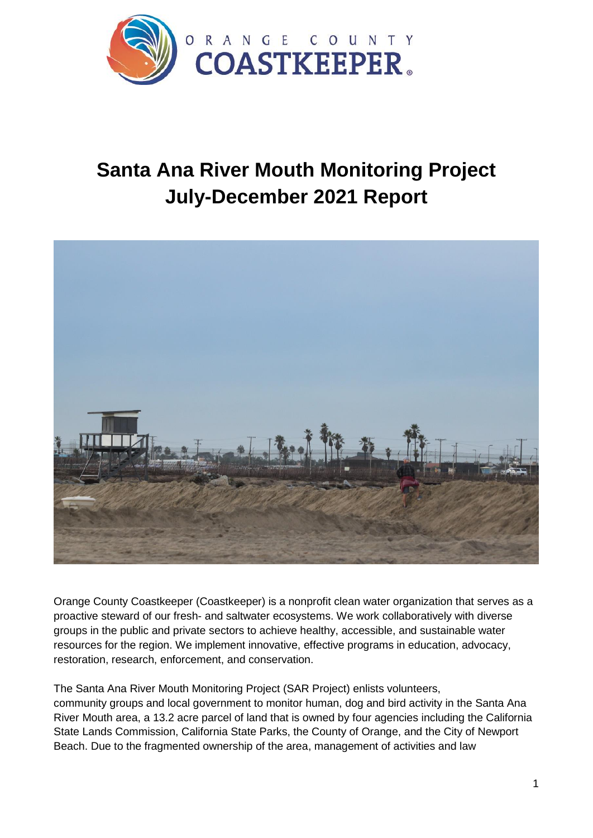

# **Santa Ana River Mouth Monitoring Project July-December 2021 Report**



Orange County Coastkeeper (Coastkeeper) is a nonprofit clean water organization that serves as a proactive steward of our fresh- and saltwater ecosystems. We work collaboratively with diverse groups in the public and private sectors to achieve healthy, accessible, and sustainable water resources for the region. We implement innovative, effective programs in education, advocacy, restoration, research, enforcement, and conservation.

The Santa Ana River Mouth Monitoring Project (SAR Project) enlists volunteers, community groups and local government to monitor human, dog and bird activity in the Santa Ana River Mouth area, a 13.2 acre parcel of land that is owned by four agencies including the California State Lands Commission, California State Parks, the County of Orange, and the City of Newport Beach. Due to the fragmented ownership of the area, management of activities and law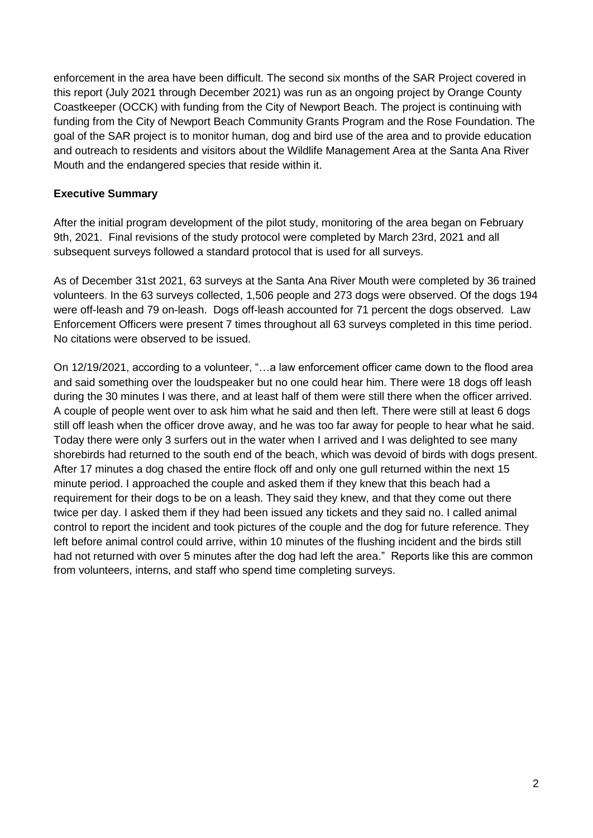enforcement in the area have been difficult. The second six months of the SAR Project covered in this report (July 2021 through December 2021) was run as an ongoing project by Orange County Coastkeeper (OCCK) with funding from the City of Newport Beach. The project is continuing with funding from the City of Newport Beach Community Grants Program and the Rose Foundation. The goal of the SAR project is to monitor human, dog and bird use of the area and to provide education and outreach to residents and visitors about the Wildlife Management Area at the Santa Ana River Mouth and the endangered species that reside within it.

## **Executive Summary**

After the initial program development of the pilot study, monitoring of the area began on February 9th, 2021. Final revisions of the study protocol were completed by March 23rd, 2021 and all subsequent surveys followed a standard protocol that is used for all surveys.

As of December 31st 2021, 63 surveys at the Santa Ana River Mouth were completed by 36 trained volunteers. In the 63 surveys collected, 1,506 people and 273 dogs were observed. Of the dogs 194 were off-leash and 79 on-leash. Dogs off-leash accounted for 71 percent the dogs observed. Law Enforcement Officers were present 7 times throughout all 63 surveys completed in this time period. No citations were observed to be issued.

On 12/19/2021, according to a volunteer, "…a law enforcement officer came down to the flood area and said something over the loudspeaker but no one could hear him. There were 18 dogs off leash during the 30 minutes I was there, and at least half of them were still there when the officer arrived. A couple of people went over to ask him what he said and then left. There were still at least 6 dogs still off leash when the officer drove away, and he was too far away for people to hear what he said. Today there were only 3 surfers out in the water when I arrived and I was delighted to see many shorebirds had returned to the south end of the beach, which was devoid of birds with dogs present. After 17 minutes a dog chased the entire flock off and only one gull returned within the next 15 minute period. I approached the couple and asked them if they knew that this beach had a requirement for their dogs to be on a leash. They said they knew, and that they come out there twice per day. I asked them if they had been issued any tickets and they said no. I called animal control to report the incident and took pictures of the couple and the dog for future reference. They left before animal control could arrive, within 10 minutes of the flushing incident and the birds still had not returned with over 5 minutes after the dog had left the area." Reports like this are common from volunteers, interns, and staff who spend time completing surveys.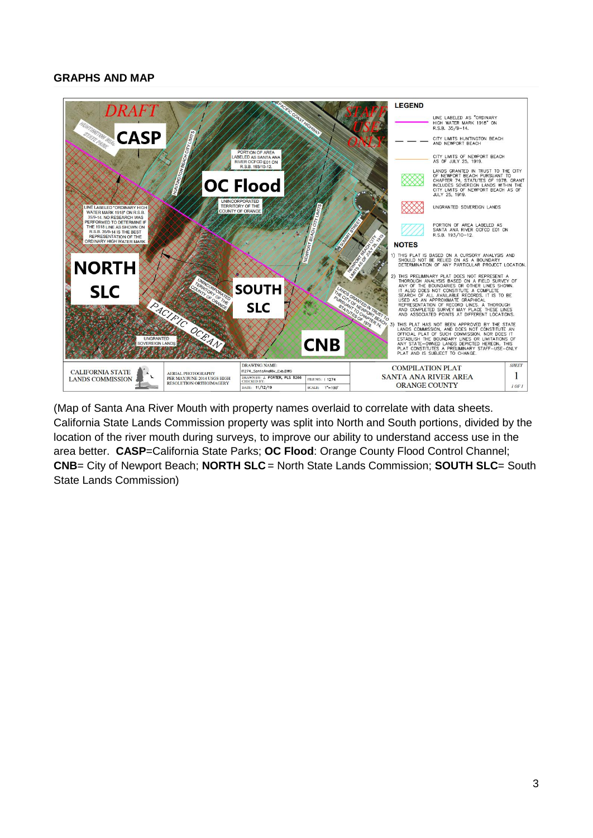#### **GRAPHS AND MAP**



(Map of Santa Ana River Mouth with property names overlaid to correlate with data sheets. California State Lands Commission property was split into North and South portions, divided by the location of the river mouth during surveys, to improve our ability to understand access use in the area better. **CASP**=California State Parks; **OC Flood**: Orange County Flood Control Channel; **CNB**= City of Newport Beach; **NORTH SLC** = North State Lands Commission; **SOUTH SLC**= South State Lands Commission)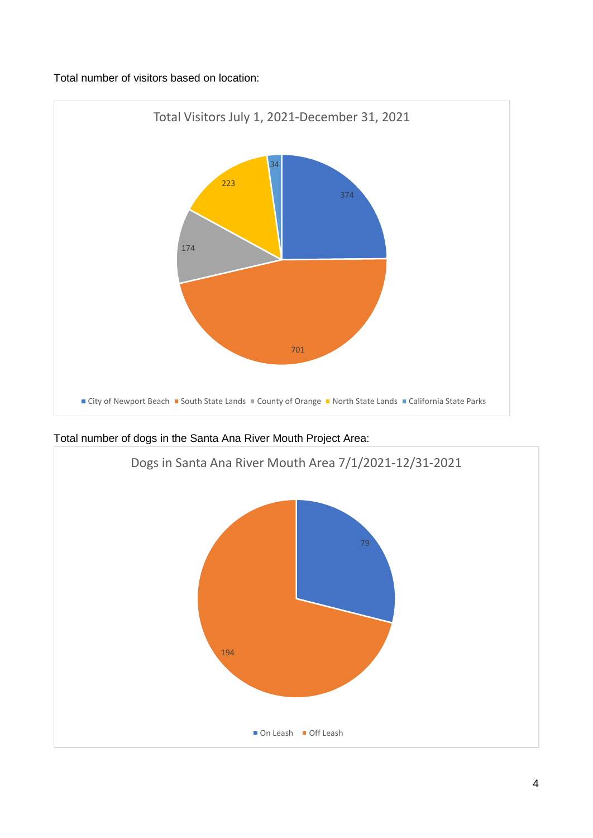Total number of visitors based on location:



Total number of dogs in the Santa Ana River Mouth Project Area:

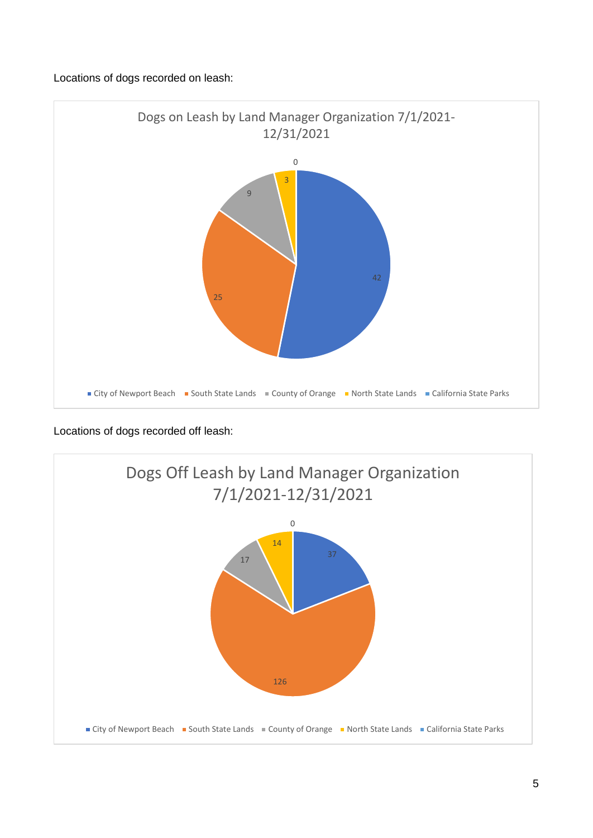## Locations of dogs recorded on leash:



Locations of dogs recorded off leash:

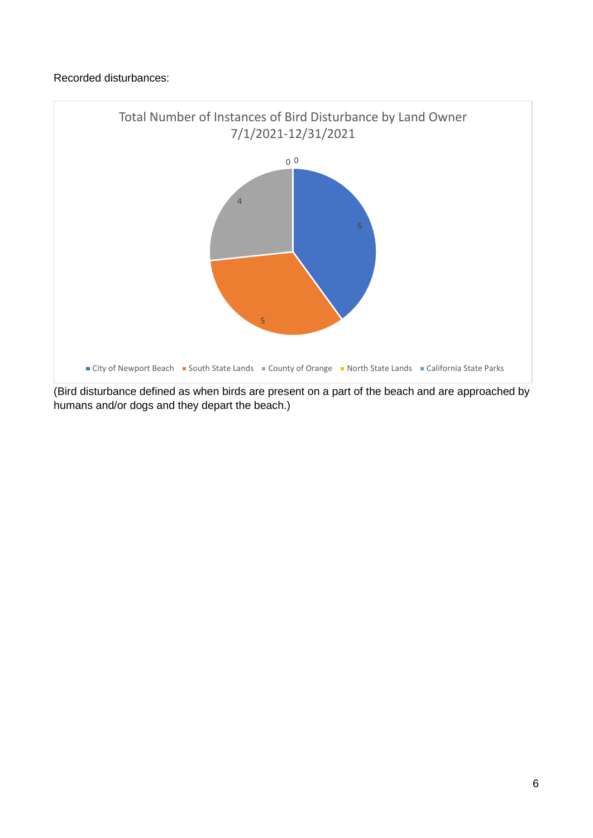## Recorded disturbances:



(Bird disturbance defined as when birds are present on a part of the beach and are approached by humans and/or dogs and they depart the beach.)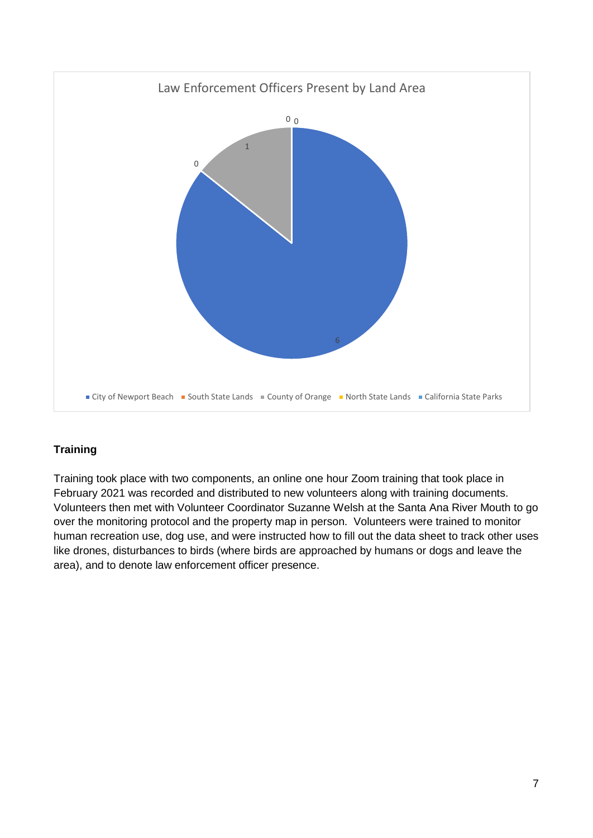

# **Training**

Training took place with two components, an online one hour Zoom training that took place in February 2021 was recorded and distributed to new volunteers along with training documents. Volunteers then met with Volunteer Coordinator Suzanne Welsh at the Santa Ana River Mouth to go over the monitoring protocol and the property map in person. Volunteers were trained to monitor human recreation use, dog use, and were instructed how to fill out the data sheet to track other uses like drones, disturbances to birds (where birds are approached by humans or dogs and leave the area), and to denote law enforcement officer presence.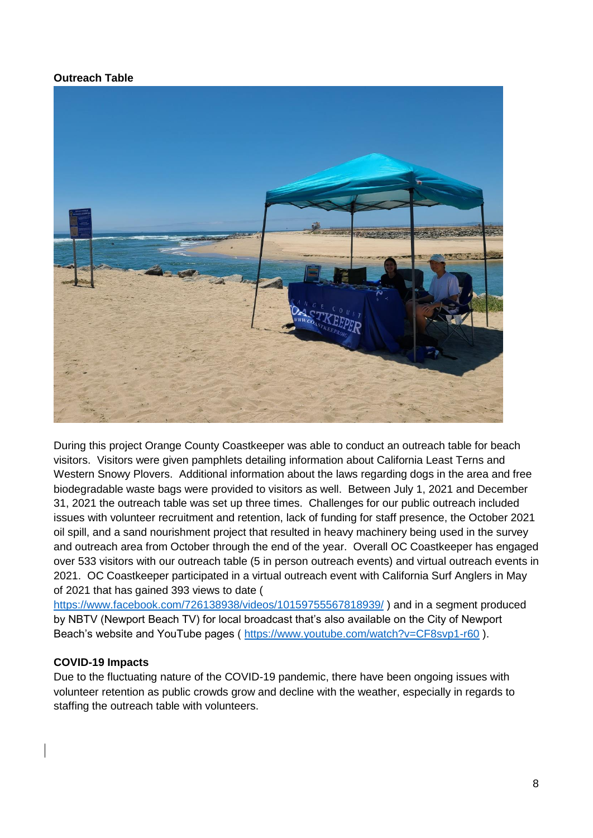#### **Outreach Table**



During this project Orange County Coastkeeper was able to conduct an outreach table for beach visitors. Visitors were given pamphlets detailing information about California Least Terns and Western Snowy Plovers. Additional information about the laws regarding dogs in the area and free biodegradable waste bags were provided to visitors as well. Between July 1, 2021 and December 31, 2021 the outreach table was set up three times. Challenges for our public outreach included issues with volunteer recruitment and retention, lack of funding for staff presence, the October 2021 oil spill, and a sand nourishment project that resulted in heavy machinery being used in the survey and outreach area from October through the end of the year. Overall OC Coastkeeper has engaged over 533 visitors with our outreach table (5 in person outreach events) and virtual outreach events in 2021. OC Coastkeeper participated in a virtual outreach event with California Surf Anglers in May of 2021 that has gained 393 views to date (

<https://www.facebook.com/726138938/videos/10159755567818939/> ) and in a segment produced by NBTV (Newport Beach TV) for local broadcast that's also available on the City of Newport Beach's website and YouTube pages (<https://www.youtube.com/watch?v=CF8svp1-r60> ).

#### **COVID-19 Impacts**

Due to the fluctuating nature of the COVID-19 pandemic, there have been ongoing issues with volunteer retention as public crowds grow and decline with the weather, especially in regards to staffing the outreach table with volunteers.